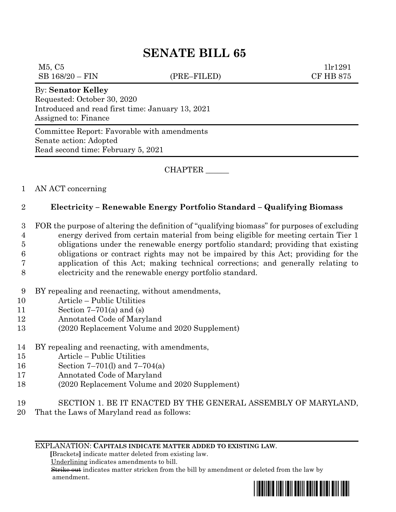# **SENATE BILL 65**

 $M5, C5$  1lr1291 SB 168/20 – FIN (PRE–FILED) CF HB 875

### By: **Senator Kelley**

Requested: October 30, 2020 Introduced and read first time: January 13, 2021 Assigned to: Finance

Committee Report: Favorable with amendments Senate action: Adopted Read second time: February 5, 2021

CHAPTER \_\_\_\_\_\_

### 1 AN ACT concerning

## 2 **Electricity – Renewable Energy Portfolio Standard – Qualifying Biomass**

 FOR the purpose of altering the definition of "qualifying biomass" for purposes of excluding energy derived from certain material from being eligible for meeting certain Tier 1 obligations under the renewable energy portfolio standard; providing that existing obligations or contract rights may not be impaired by this Act; providing for the application of this Act; making technical corrections; and generally relating to electricity and the renewable energy portfolio standard.

- 9 BY repealing and reenacting, without amendments,
- 10 Article Public Utilities
- 11 Section 7–701(a) and (s)
- 12 Annotated Code of Maryland
- 13 (2020 Replacement Volume and 2020 Supplement)
- 14 BY repealing and reenacting, with amendments,
- 15 Article Public Utilities
- 16 Section 7–701(l) and 7–704(a)
- 17 Annotated Code of Maryland
- 18 (2020 Replacement Volume and 2020 Supplement)
- 19 SECTION 1. BE IT ENACTED BY THE GENERAL ASSEMBLY OF MARYLAND,
- 20 That the Laws of Maryland read as follows:

#### EXPLANATION: **CAPITALS INDICATE MATTER ADDED TO EXISTING LAW**.

 **[**Brackets**]** indicate matter deleted from existing law.

Underlining indicates amendments to bill.

 Strike out indicates matter stricken from the bill by amendment or deleted from the law by amendment.

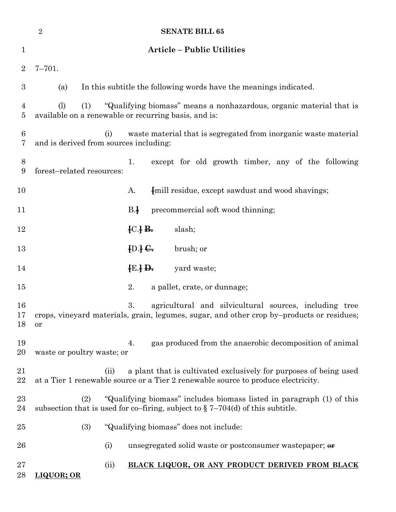|                  | $\overline{2}$<br><b>SENATE BILL 65</b>       |                                                                                                                                                              |
|------------------|-----------------------------------------------|--------------------------------------------------------------------------------------------------------------------------------------------------------------|
| $\mathbf 1$      |                                               | <b>Article - Public Utilities</b>                                                                                                                            |
| $\overline{2}$   | $7 - 701.$                                    |                                                                                                                                                              |
| $\boldsymbol{3}$ | (a)                                           | In this subtitle the following words have the meanings indicated.                                                                                            |
| 4<br>5           | (1)<br>(1)                                    | "Qualifying biomass" means a nonhazardous, organic material that is<br>available on a renewable or recurring basis, and is:                                  |
| 6<br>7           | (i)<br>and is derived from sources including: | waste material that is segregated from inorganic waste material                                                                                              |
| 8<br>9           | forest-related resources:                     | except for old growth timber, any of the following<br>1.                                                                                                     |
| 10               |                                               | [mill residue, except sawdust and wood shavings;<br>A.                                                                                                       |
| 11               |                                               | $B+$<br>precommercial soft wood thinning;                                                                                                                    |
| 12               |                                               | ${C}$ $\rightarrow$ $B$ .<br>slash;                                                                                                                          |
| 13               |                                               | $[D.]\bigoplus$<br>brush; or                                                                                                                                 |
| 14               |                                               | $\{E.\}$ <del>D.</del><br>yard waste;                                                                                                                        |
| 15               |                                               | 2.<br>a pallet, crate, or dunnage;                                                                                                                           |
| 16<br>18         | or                                            | 3.<br>agricultural and silvicultural sources, including tree<br>17 crops, vineyard materials, grain, legumes, sugar, and other crop by-products or residues; |
| 19<br>20         | waste or poultry waste; or                    | gas produced from the anaerobic decomposition of animal<br>4.                                                                                                |
| 21<br>22         | (ii)                                          | a plant that is cultivated exclusively for purposes of being used<br>at a Tier 1 renewable source or a Tier 2 renewable source to produce electricity.       |
| 23<br>24         | (2)                                           | "Qualifying biomass" includes biomass listed in paragraph (1) of this<br>subsection that is used for co-firing, subject to $\S 7-704(d)$ of this subtitle.   |
| 25               | (3)                                           | "Qualifying biomass" does not include:                                                                                                                       |
| 26               | (i)                                           | unsegregated solid waste or postconsumer wastepaper; $\theta$                                                                                                |
| $27\,$<br>28     | (ii)<br>LIQUOR; OR                            | BLACK LIQUOR, OR ANY PRODUCT DERIVED FROM BLACK                                                                                                              |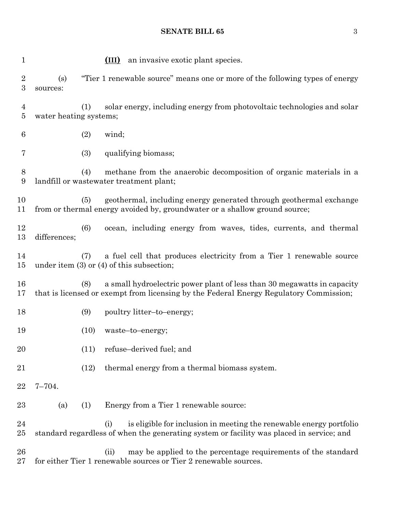**SENATE BILL 65** 3

| 1                                    |                               | (III) an invasive exotic plant species.                                                                                                                                |
|--------------------------------------|-------------------------------|------------------------------------------------------------------------------------------------------------------------------------------------------------------------|
| $\boldsymbol{2}$<br>$\boldsymbol{3}$ | (s)<br>sources:               | "Tier 1 renewable source" means one or more of the following types of energy                                                                                           |
| $\overline{4}$<br>$\bf 5$            | (1)<br>water heating systems; | solar energy, including energy from photovoltaic technologies and solar                                                                                                |
| 6                                    | (2)                           | wind;                                                                                                                                                                  |
| 7                                    | (3)                           | qualifying biomass;                                                                                                                                                    |
| 8<br>9                               | (4)                           | methane from the anaerobic decomposition of organic materials in a<br>landfill or wastewater treatment plant;                                                          |
| 10<br>11                             | (5)                           | geothermal, including energy generated through geothermal exchange<br>from or thermal energy avoided by, groundwater or a shallow ground source;                       |
| 12<br>13                             | (6)<br>differences;           | ocean, including energy from waves, tides, currents, and thermal                                                                                                       |
| 14<br>15                             | (7)                           | a fuel cell that produces electricity from a Tier 1 renewable source<br>under item $(3)$ or $(4)$ of this subsection;                                                  |
| 16<br>17                             | (8)                           | a small hydroelectric power plant of less than 30 megawatts in capacity<br>that is licensed or exempt from licensing by the Federal Energy Regulatory Commission;      |
| 18                                   | (9)                           | poultry litter-to-energy;                                                                                                                                              |
| 19                                   | (10)                          | waste-to-energy;                                                                                                                                                       |
| 20                                   | (11)                          | refuse-derived fuel; and                                                                                                                                               |
| 21                                   | (12)                          | thermal energy from a thermal biomass system.                                                                                                                          |
| 22                                   | $7 - 704.$                    |                                                                                                                                                                        |
| 23                                   | (1)<br>(a)                    | Energy from a Tier 1 renewable source:                                                                                                                                 |
| 24<br>25                             |                               | is eligible for inclusion in meeting the renewable energy portfolio<br>(i)<br>standard regardless of when the generating system or facility was placed in service; and |
| 26<br>27                             |                               | may be applied to the percentage requirements of the standard<br>(ii)<br>for either Tier 1 renewable sources or Tier 2 renewable sources.                              |